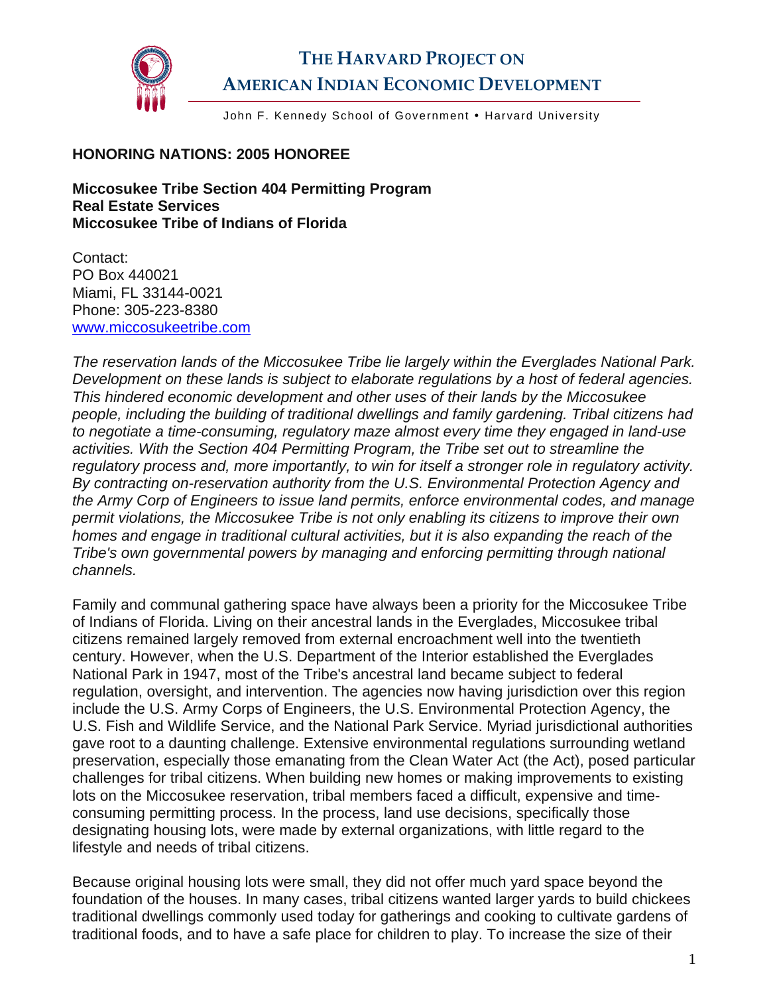

## **THE HARVARD PROJECT ON AMERICAN INDIAN ECONOMIC DEVELOPMENT**

John F. Kennedy School of Government . Harvard University

## **HONORING NATIONS: 2005 HONOREE**

**Miccosukee Tribe Section 404 Permitting Program Real Estate Services Miccosukee Tribe of Indians of Florida**

Contact: PO Box 440021 Miami, FL 33144-0021 Phone: 305-223-8380 [www.miccosukeetribe.com](http://www.miccosukeetribe.com/) 

*The reservation lands of the Miccosukee Tribe lie largely within the Everglades National Park. Development on these lands is subject to elaborate regulations by a host of federal agencies. This hindered economic development and other uses of their lands by the Miccosukee people, including the building of traditional dwellings and family gardening. Tribal citizens had to negotiate a time-consuming, regulatory maze almost every time they engaged in land-use activities. With the Section 404 Permitting Program, the Tribe set out to streamline the regulatory process and, more importantly, to win for itself a stronger role in regulatory activity. By contracting on-reservation authority from the U.S. Environmental Protection Agency and the Army Corp of Engineers to issue land permits, enforce environmental codes, and manage permit violations, the Miccosukee Tribe is not only enabling its citizens to improve their own homes and engage in traditional cultural activities, but it is also expanding the reach of the Tribe's own governmental powers by managing and enforcing permitting through national channels.* 

Family and communal gathering space have always been a priority for the Miccosukee Tribe of Indians of Florida. Living on their ancestral lands in the Everglades, Miccosukee tribal citizens remained largely removed from external encroachment well into the twentieth century. However, when the U.S. Department of the Interior established the Everglades National Park in 1947, most of the Tribe's ancestral land became subject to federal regulation, oversight, and intervention. The agencies now having jurisdiction over this region include the U.S. Army Corps of Engineers, the U.S. Environmental Protection Agency, the U.S. Fish and Wildlife Service, and the National Park Service. Myriad jurisdictional authorities gave root to a daunting challenge. Extensive environmental regulations surrounding wetland preservation, especially those emanating from the Clean Water Act (the Act), posed particular challenges for tribal citizens. When building new homes or making improvements to existing lots on the Miccosukee reservation, tribal members faced a difficult, expensive and timeconsuming permitting process. In the process, land use decisions, specifically those designating housing lots, were made by external organizations, with little regard to the lifestyle and needs of tribal citizens.

Because original housing lots were small, they did not offer much yard space beyond the foundation of the houses. In many cases, tribal citizens wanted larger yards to build chickees traditional dwellings commonly used today for gatherings and cooking to cultivate gardens of traditional foods, and to have a safe place for children to play. To increase the size of their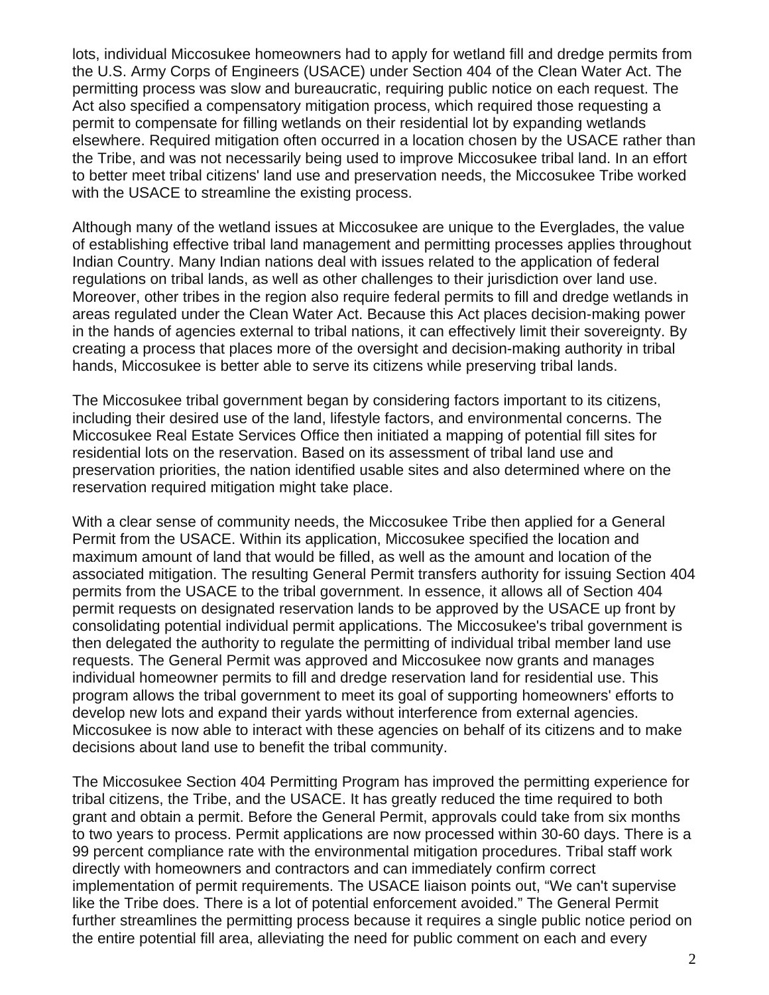lots, individual Miccosukee homeowners had to apply for wetland fill and dredge permits from the U.S. Army Corps of Engineers (USACE) under Section 404 of the Clean Water Act. The permitting process was slow and bureaucratic, requiring public notice on each request. The Act also specified a compensatory mitigation process, which required those requesting a permit to compensate for filling wetlands on their residential lot by expanding wetlands elsewhere. Required mitigation often occurred in a location chosen by the USACE rather than the Tribe, and was not necessarily being used to improve Miccosukee tribal land. In an effort to better meet tribal citizens' land use and preservation needs, the Miccosukee Tribe worked with the USACE to streamline the existing process.

Although many of the wetland issues at Miccosukee are unique to the Everglades, the value of establishing effective tribal land management and permitting processes applies throughout Indian Country. Many Indian nations deal with issues related to the application of federal regulations on tribal lands, as well as other challenges to their jurisdiction over land use. Moreover, other tribes in the region also require federal permits to fill and dredge wetlands in areas regulated under the Clean Water Act. Because this Act places decision-making power in the hands of agencies external to tribal nations, it can effectively limit their sovereignty. By creating a process that places more of the oversight and decision-making authority in tribal hands, Miccosukee is better able to serve its citizens while preserving tribal lands.

The Miccosukee tribal government began by considering factors important to its citizens, including their desired use of the land, lifestyle factors, and environmental concerns. The Miccosukee Real Estate Services Office then initiated a mapping of potential fill sites for residential lots on the reservation. Based on its assessment of tribal land use and preservation priorities, the nation identified usable sites and also determined where on the reservation required mitigation might take place.

With a clear sense of community needs, the Miccosukee Tribe then applied for a General Permit from the USACE. Within its application, Miccosukee specified the location and maximum amount of land that would be filled, as well as the amount and location of the associated mitigation. The resulting General Permit transfers authority for issuing Section 404 permits from the USACE to the tribal government. In essence, it allows all of Section 404 permit requests on designated reservation lands to be approved by the USACE up front by consolidating potential individual permit applications. The Miccosukee's tribal government is then delegated the authority to regulate the permitting of individual tribal member land use requests. The General Permit was approved and Miccosukee now grants and manages individual homeowner permits to fill and dredge reservation land for residential use. This program allows the tribal government to meet its goal of supporting homeowners' efforts to develop new lots and expand their yards without interference from external agencies. Miccosukee is now able to interact with these agencies on behalf of its citizens and to make decisions about land use to benefit the tribal community.

The Miccosukee Section 404 Permitting Program has improved the permitting experience for tribal citizens, the Tribe, and the USACE. It has greatly reduced the time required to both grant and obtain a permit. Before the General Permit, approvals could take from six months to two years to process. Permit applications are now processed within 30-60 days. There is a 99 percent compliance rate with the environmental mitigation procedures. Tribal staff work directly with homeowners and contractors and can immediately confirm correct implementation of permit requirements. The USACE liaison points out, "We can't supervise like the Tribe does. There is a lot of potential enforcement avoided." The General Permit further streamlines the permitting process because it requires a single public notice period on the entire potential fill area, alleviating the need for public comment on each and every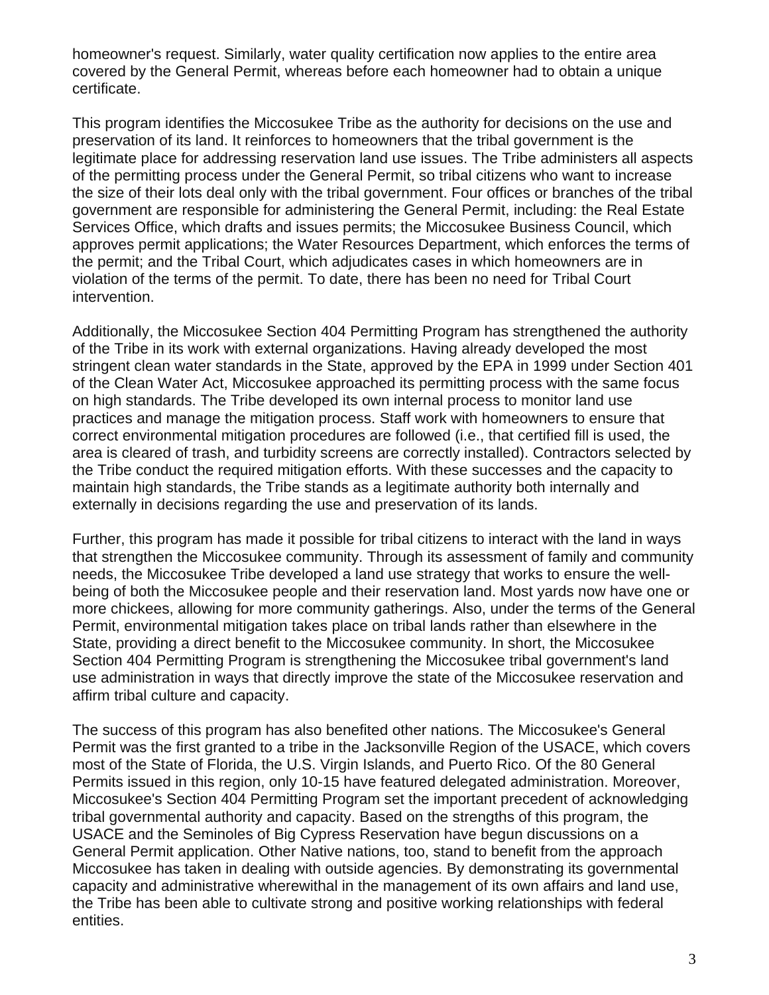homeowner's request. Similarly, water quality certification now applies to the entire area covered by the General Permit, whereas before each homeowner had to obtain a unique certificate.

This program identifies the Miccosukee Tribe as the authority for decisions on the use and preservation of its land. It reinforces to homeowners that the tribal government is the legitimate place for addressing reservation land use issues. The Tribe administers all aspects of the permitting process under the General Permit, so tribal citizens who want to increase the size of their lots deal only with the tribal government. Four offices or branches of the tribal government are responsible for administering the General Permit, including: the Real Estate Services Office, which drafts and issues permits; the Miccosukee Business Council, which approves permit applications; the Water Resources Department, which enforces the terms of the permit; and the Tribal Court, which adjudicates cases in which homeowners are in violation of the terms of the permit. To date, there has been no need for Tribal Court intervention.

Additionally, the Miccosukee Section 404 Permitting Program has strengthened the authority of the Tribe in its work with external organizations. Having already developed the most stringent clean water standards in the State, approved by the EPA in 1999 under Section 401 of the Clean Water Act, Miccosukee approached its permitting process with the same focus on high standards. The Tribe developed its own internal process to monitor land use practices and manage the mitigation process. Staff work with homeowners to ensure that correct environmental mitigation procedures are followed (i.e., that certified fill is used, the area is cleared of trash, and turbidity screens are correctly installed). Contractors selected by the Tribe conduct the required mitigation efforts. With these successes and the capacity to maintain high standards, the Tribe stands as a legitimate authority both internally and externally in decisions regarding the use and preservation of its lands.

Further, this program has made it possible for tribal citizens to interact with the land in ways that strengthen the Miccosukee community. Through its assessment of family and community needs, the Miccosukee Tribe developed a land use strategy that works to ensure the wellbeing of both the Miccosukee people and their reservation land. Most yards now have one or more chickees, allowing for more community gatherings. Also, under the terms of the General Permit, environmental mitigation takes place on tribal lands rather than elsewhere in the State, providing a direct benefit to the Miccosukee community. In short, the Miccosukee Section 404 Permitting Program is strengthening the Miccosukee tribal government's land use administration in ways that directly improve the state of the Miccosukee reservation and affirm tribal culture and capacity.

The success of this program has also benefited other nations. The Miccosukee's General Permit was the first granted to a tribe in the Jacksonville Region of the USACE, which covers most of the State of Florida, the U.S. Virgin Islands, and Puerto Rico. Of the 80 General Permits issued in this region, only 10-15 have featured delegated administration. Moreover, Miccosukee's Section 404 Permitting Program set the important precedent of acknowledging tribal governmental authority and capacity. Based on the strengths of this program, the USACE and the Seminoles of Big Cypress Reservation have begun discussions on a General Permit application. Other Native nations, too, stand to benefit from the approach Miccosukee has taken in dealing with outside agencies. By demonstrating its governmental capacity and administrative wherewithal in the management of its own affairs and land use, the Tribe has been able to cultivate strong and positive working relationships with federal entities.